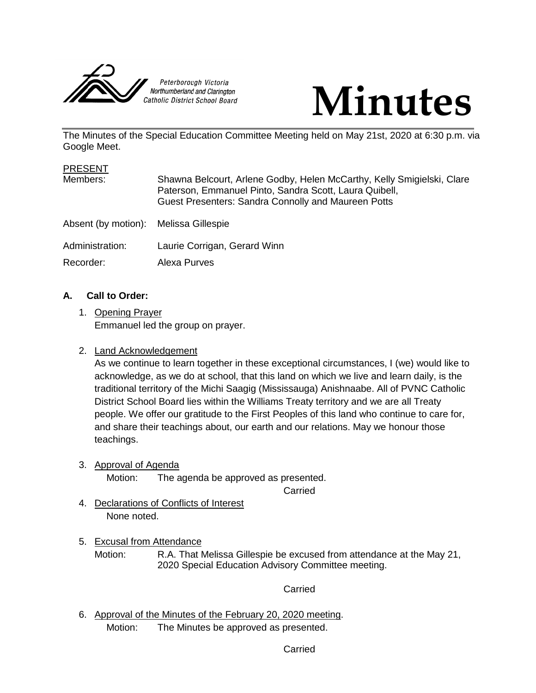



The Minutes of the Special Education Committee Meeting held on May 21st, 2020 at 6:30 p.m. via Google Meet.

| <b>PRESENT</b>                        |                                                                                                                                                                                                |
|---------------------------------------|------------------------------------------------------------------------------------------------------------------------------------------------------------------------------------------------|
| Members:                              | Shawna Belcourt, Arlene Godby, Helen McCarthy, Kelly Smigielski, Clare<br>Paterson, Emmanuel Pinto, Sandra Scott, Laura Quibell,<br><b>Guest Presenters: Sandra Connolly and Maureen Potts</b> |
| Absent (by motion): Melissa Gillespie |                                                                                                                                                                                                |
| Administration:                       | Laurie Corrigan, Gerard Winn                                                                                                                                                                   |
| Recorder:                             | <b>Alexa Purves</b>                                                                                                                                                                            |

### **A. Call to Order:**

1. Opening Prayer Emmanuel led the group on prayer.

### 2. Land Acknowledgement

As we continue to learn together in these exceptional circumstances, I (we) would like to acknowledge, as we do at school, that this land on which we live and learn daily, is the traditional territory of the Michi Saagig (Mississauga) Anishnaabe. All of PVNC Catholic District School Board lies within the Williams Treaty territory and we are all Treaty people. We offer our gratitude to the First Peoples of this land who continue to care for, and share their teachings about, our earth and our relations. May we honour those teachings.

3. Approval of Agenda

Motion: The agenda be approved as presented.

Carried

4. Declarations of Conflicts of Interest None noted.

# 5. Excusal from Attendance

Motion: R.A. That Melissa Gillespie be excused from attendance at the May 21, 2020 Special Education Advisory Committee meeting.

### **Carried**

6. Approval of the Minutes of the February 20, 2020 meeting. Motion: The Minutes be approved as presented.

#### Carried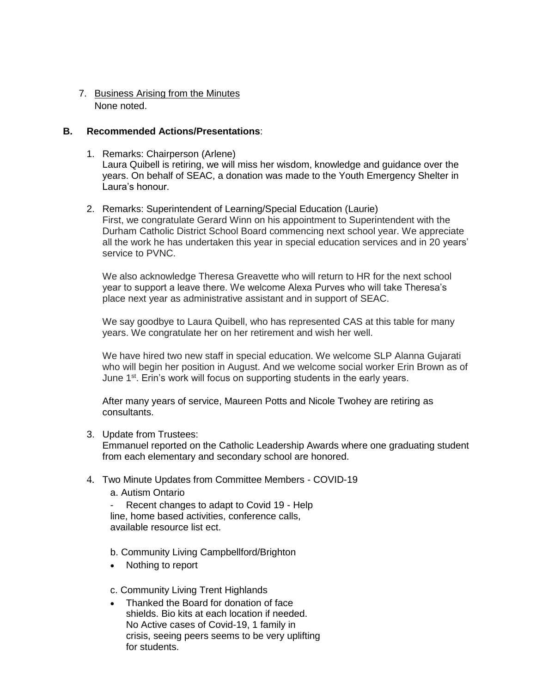## 7. Business Arising from the Minutes None noted.

### **B. Recommended Actions/Presentations**:

- 1. Remarks: Chairperson (Arlene) Laura Quibell is retiring, we will miss her wisdom, knowledge and guidance over the years. On behalf of SEAC, a donation was made to the Youth Emergency Shelter in Laura's honour.
- 2. Remarks: Superintendent of Learning/Special Education (Laurie) First, we congratulate Gerard Winn on his appointment to Superintendent with the Durham Catholic District School Board commencing next school year. We appreciate all the work he has undertaken this year in special education services and in 20 years' service to PVNC.

We also acknowledge Theresa Greavette who will return to HR for the next school year to support a leave there. We welcome Alexa Purves who will take Theresa's place next year as administrative assistant and in support of SEAC.

We say goodbye to Laura Quibell, who has represented CAS at this table for many years. We congratulate her on her retirement and wish her well.

We have hired two new staff in special education. We welcome SLP Alanna Gujarati who will begin her position in August. And we welcome social worker Erin Brown as of June 1<sup>st</sup>. Erin's work will focus on supporting students in the early years.

After many years of service, Maureen Potts and Nicole Twohey are retiring as consultants.

3. Update from Trustees:

Emmanuel reported on the Catholic Leadership Awards where one graduating student from each elementary and secondary school are honored.

- 4. Two Minute Updates from Committee Members COVID-19
	- a. Autism Ontario

Recent changes to adapt to Covid 19 - Help line, home based activities, conference calls, available resource list ect.

- b. Community Living Campbellford/Brighton
- Nothing to report

c. Community Living Trent Highlands

 Thanked the Board for donation of face shields. Bio kits at each location if needed. No Active cases of Covid-19, 1 family in crisis, seeing peers seems to be very uplifting for students.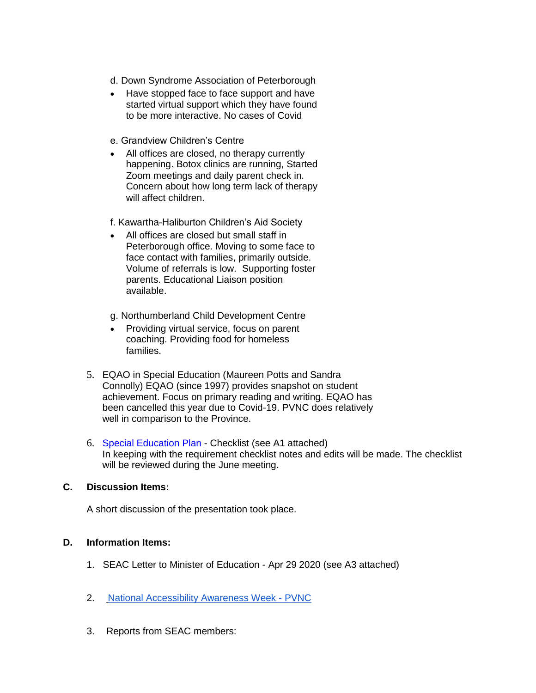- d. Down Syndrome Association of Peterborough
- Have stopped face to face support and have started virtual support which they have found to be more interactive. No cases of Covid
- e. Grandview Children's Centre
- All offices are closed, no therapy currently happening. Botox clinics are running, Started Zoom meetings and daily parent check in. Concern about how long term lack of therapy will affect children.

f. Kawartha-Haliburton Children's Aid Society

- All offices are closed but small staff in Peterborough office. Moving to some face to face contact with families, primarily outside. Volume of referrals is low. Supporting foster parents. Educational Liaison position available.
- g. Northumberland Child Development Centre
- Providing virtual service, focus on parent coaching. Providing food for homeless families.
- 5. EQAO in Special Education (Maureen Potts and Sandra Connolly) EQAO (since 1997) provides snapshot on student achievement. Focus on primary reading and writing. EQAO has been cancelled this year due to Covid-19. PVNC does relatively well in comparison to the Province.
- 6. Special Education Plan Checklist (see A1 attached) In keeping with the requirement checklist notes and edits will be made. The checklist will be reviewed during the June meeting.

### **C. Discussion Items:**

A short discussion of the presentation took place.

#### **D. Information Items:**

- 1. SEAC Letter to Minister of Education Apr 29 2020 (see A3 attached)
- 2. [National Accessibility](https://docs.google.com/document/d/1yaefQWySGWdlJazjqznpfBNUcSqsL_Azbn1hLvp-bGA/edit) Awareness Week PVNC
- 3. Reports from SEAC members: